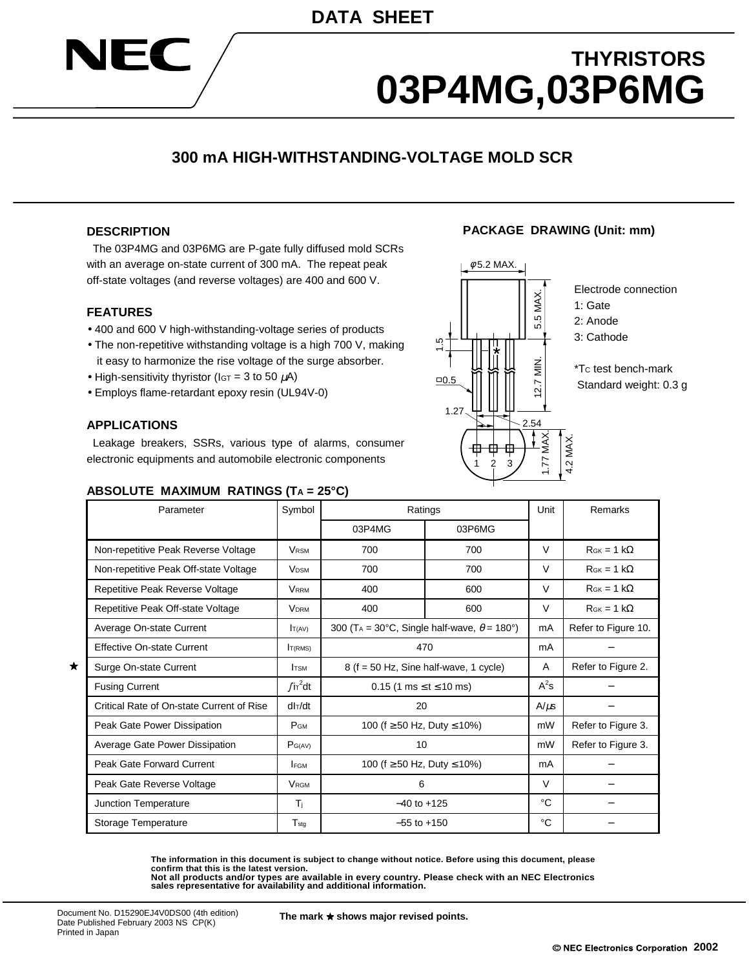# **THYRISTORS 03P4MG,03P6MG**

**PACKAGE DRAWING (Unit: mm)**

## **300 mA HIGH-WITHSTANDING-VOLTAGE MOLD SCR**

#### **DESCRIPTION**

**SIEC** 

 The 03P4MG and 03P6MG are P-gate fully diffused mold SCRs with an average on-state current of 300 mA. The repeat peak off-state voltages (and reverse voltages) are 400 and 600 V.

#### **FEATURES**

- 400 and 600 V high-withstanding-voltage series of products
- The non-repetitive withstanding voltage is a high 700 V, making it easy to harmonize the rise voltage of the surge absorber.
- High-sensitivity thyristor ( $IST = 3$  to 50  $\mu$ A)
- Employs flame-retardant epoxy resin (UL94V-0)

#### **APPLICATIONS**

★

 Leakage breakers, SSRs, various type of alarms, consumer electronic equipments and automobile electronic components

#### **ABSOLUTE MAXIMUM RATINGS (TA = 25°C)**



Electrode connection

- 1: Gate
- 2: Anode
- 3: Cathode

\*TC test bench-mark Standard weight: 0.3 g

| Parameter                                 | Symbol                  | Ratings                                                        |        |        | Remarks              |
|-------------------------------------------|-------------------------|----------------------------------------------------------------|--------|--------|----------------------|
|                                           |                         | 03P4MG                                                         | 03P6MG |        |                      |
| Non-repetitive Peak Reverse Voltage       | <b>VRSM</b>             | 700                                                            | 700    | V      | $R_{GK} = 1 k\Omega$ |
| Non-repetitive Peak Off-state Voltage     | <b>VDSM</b>             | 700<br>700                                                     |        | $\vee$ | $R_{GK} = 1 k\Omega$ |
| Repetitive Peak Reverse Voltage           | <b>VRRM</b>             | 400<br>600                                                     |        | $\vee$ | $R_{GK} = 1 k\Omega$ |
| Repetitive Peak Off-state Voltage         | <b>VDRM</b>             | 400                                                            | 600    | $\vee$ | $R_{GK} = 1 k\Omega$ |
| Average On-state Current                  | T(AV)                   | 300 (T <sub>A</sub> = 30°C, Single half-wave, $\theta$ = 180°) |        |        | Refer to Figure 10.  |
| Effective On-state Current                | T(RMS)                  | 470                                                            |        |        |                      |
| Surge On-state Current                    | <b>TSM</b>              | $8$ (f = 50 Hz, Sine half-wave, 1 cycle)                       |        |        | Refer to Figure 2.   |
| <b>Fusing Current</b>                     | $\int$ i $\tau^2$ dt    | $0.15$ (1 ms $\le t \le 10$ ms)                                |        |        |                      |
| Critical Rate of On-state Current of Rise | $d\vert \tau/dt$        | 20                                                             |        |        |                      |
| Peak Gate Power Dissipation               | <b>P</b> GM             | 100 (f $\geq$ 50 Hz, Duty $\leq$ 10%)                          |        |        | Refer to Figure 3.   |
| Average Gate Power Dissipation            | $P_{G(AV)}$             | 10                                                             |        |        | Refer to Figure 3.   |
| Peak Gate Forward Current                 | <b>FGM</b>              | 100 (f $\geq$ 50 Hz, Duty $\leq$ 10%)                          |        |        |                      |
| Peak Gate Reverse Voltage                 | <b>V</b> <sub>RGM</sub> | 6                                                              |        |        |                      |
| Junction Temperature                      | Τì                      | $-40$ to $+125$                                                |        |        |                      |
| Storage Temperature                       | $T_{sta}$               | $-55$ to $+150$                                                |        |        |                      |

**The information in this document is subject to change without notice. Before using this document, please confirm that this is the latest version.**

**Not all products and/or types are available in every country. Please check with an NEC Electronics sales representative for availability and additional information.**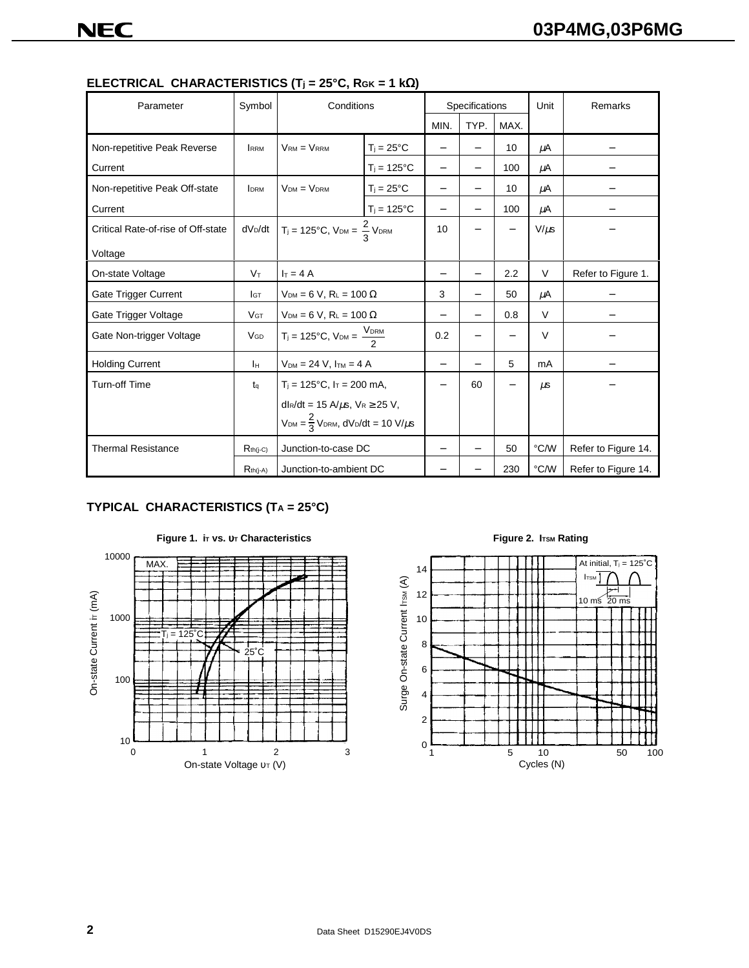| Parameter                          | Symbol              | Conditions                                                          |                     | Specifications           |                          |           | Unit                | Remarks |
|------------------------------------|---------------------|---------------------------------------------------------------------|---------------------|--------------------------|--------------------------|-----------|---------------------|---------|
|                                    |                     |                                                                     |                     | MIN.                     | TYP.                     | MAX.      |                     |         |
| Non-repetitive Peak Reverse        | <b>IRRM</b>         | $V_{RM} = V_{RRM}$                                                  | $T_i = 25^{\circ}C$ | $\overline{\phantom{0}}$ |                          | 10        | μA                  |         |
| Current                            |                     |                                                                     | $T_i = 125$ °C      | $\overline{\phantom{0}}$ | $\equiv$                 | 100       | μA                  |         |
| Non-repetitive Peak Off-state      | <b>IDRM</b>         | $VDM = VDRM$                                                        | $T_i = 25^{\circ}C$ | $\overline{\phantom{0}}$ |                          | 10        | μA                  |         |
| Current                            |                     |                                                                     | $T_i = 125$ °C      | <u>—</u>                 |                          | 100       | μA                  |         |
| Critical Rate-of-rise of Off-state | dV <sub>D</sub> /dt | $T_i = 125^{\circ}C$ , $V_{DM} = \frac{2}{3} V_{DRM}$               | 10                  |                          |                          | $V/\mu s$ |                     |         |
| Voltage                            |                     |                                                                     |                     |                          |                          |           |                     |         |
| On-state Voltage                   | $V_T$               | $I_T = 4A$                                                          | —                   |                          | 2.2                      | $\vee$    | Refer to Figure 1.  |         |
| Gate Trigger Current               | <b>I</b> GT         | $V_{DM} = 6 V$ , $R_L = 100 \Omega$                                 | 3                   |                          | 50                       | μA        |                     |         |
| Gate Trigger Voltage               | <b>VGT</b>          | $V_{DM} = 6 V$ , $R_L = 100 \Omega$                                 | <u>—</u>            |                          | 0.8                      | $\vee$    |                     |         |
| Gate Non-trigger Voltage           | VGD                 | $T_i = 125^{\circ}C$ , $V_{DM} = \frac{V_{DRM}}{2}$                 |                     | 0.2                      | —                        |           | $\vee$              |         |
| <b>Holding Current</b>             | Iн                  | $V_{DM} = 24 V$ , $I_{TM} = 4 A$                                    | -                   |                          | 5                        | mA        |                     |         |
| <b>Turn-off Time</b>               | $t_{\alpha}$        | $T_i = 125$ °C, $Ir = 200$ mA,                                      | -                   | 60                       | $\overline{\phantom{0}}$ | $\mu$ s   |                     |         |
|                                    |                     | dl $R/dt = 15$ A/ $\mu$ s, V $R \ge 25$ V,                          |                     |                          |                          |           |                     |         |
|                                    |                     | $V_{DM} = \frac{2}{3}V_{DRM}$ , dV <sub>D</sub> /dt = 10 V/ $\mu$ s |                     |                          |                          |           |                     |         |
| <b>Thermal Resistance</b>          | $R_{th(i-C)}$       | Junction-to-case DC                                                 |                     |                          | 50                       | °C/W      | Refer to Figure 14. |         |
|                                    | $R_{th(j-A)}$       | Junction-to-ambient DC                                              |                     |                          | 230                      | °C/W      | Refer to Figure 14. |         |

**ELECTRICAL CHARACTERISTICS (Tj = 25°C, RGK = 1 k**Ω**)**

### **TYPICAL CHARACTERISTICS (TA = 25°C)**



**Figure 1. iπ vs.**  $υ$ **τ Characteristics** Figure 2. ITSM Rating

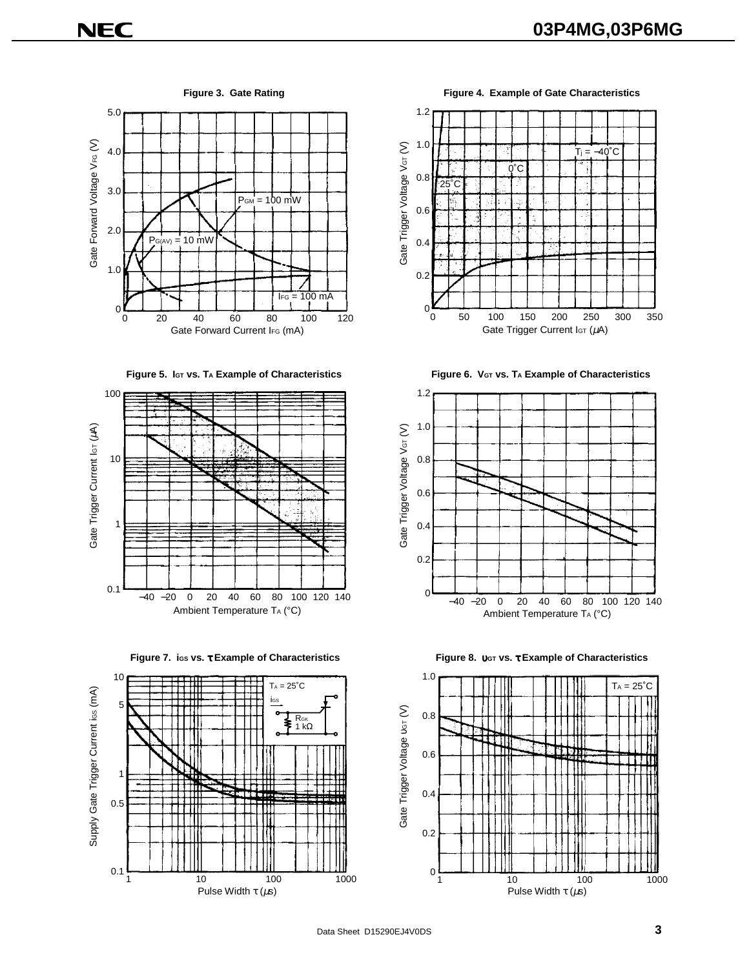5.0 Gate Forward Voltage V<sub>FG</sub> (V) Gate Forward Voltage VFG (V) 4.0 3.0  $P<sub>GM</sub> = 100$  mW 2.0  $P_{G(AV)} = 10$  mW 1.0  $IFG = 100 \text{ mA}$  $\sigma_0^{\mathbf{K}}$ 0 20 40 60 80 100 120 Gate Forward Current IFG (mA)















**Figure 3. Gate Rating Figure 4. Example of Gate Characteristics**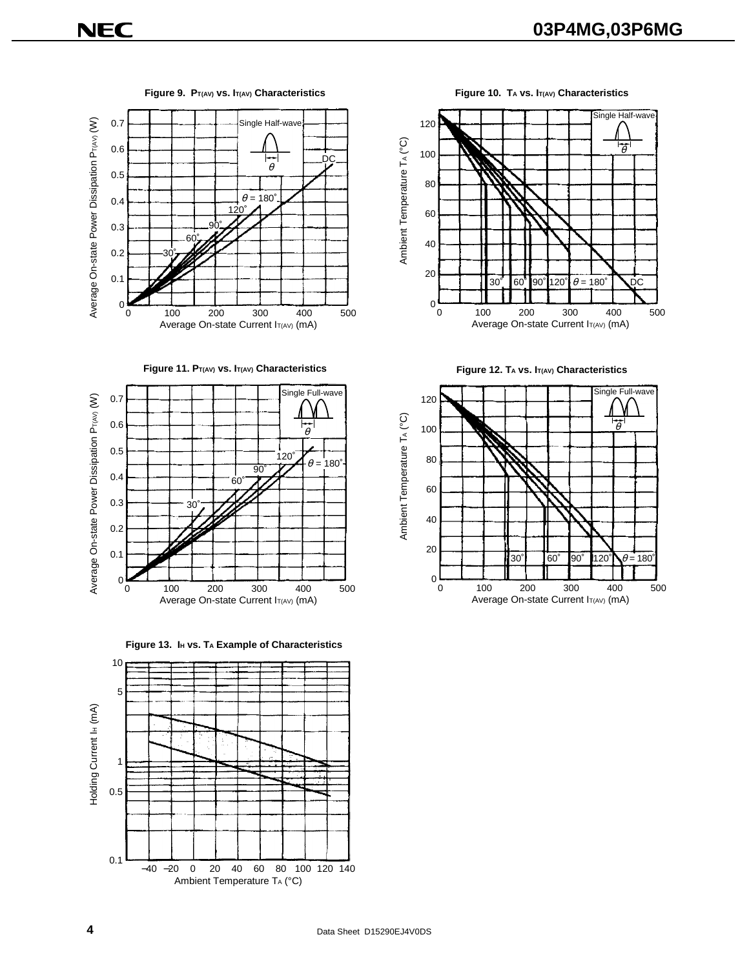

Figure 9. P<sub>T(AV)</sub> vs. I<sub>T(AV)</sub> Characteristics Figure 10. TA vs. I<sub>T(AV)</sub> Characteristics











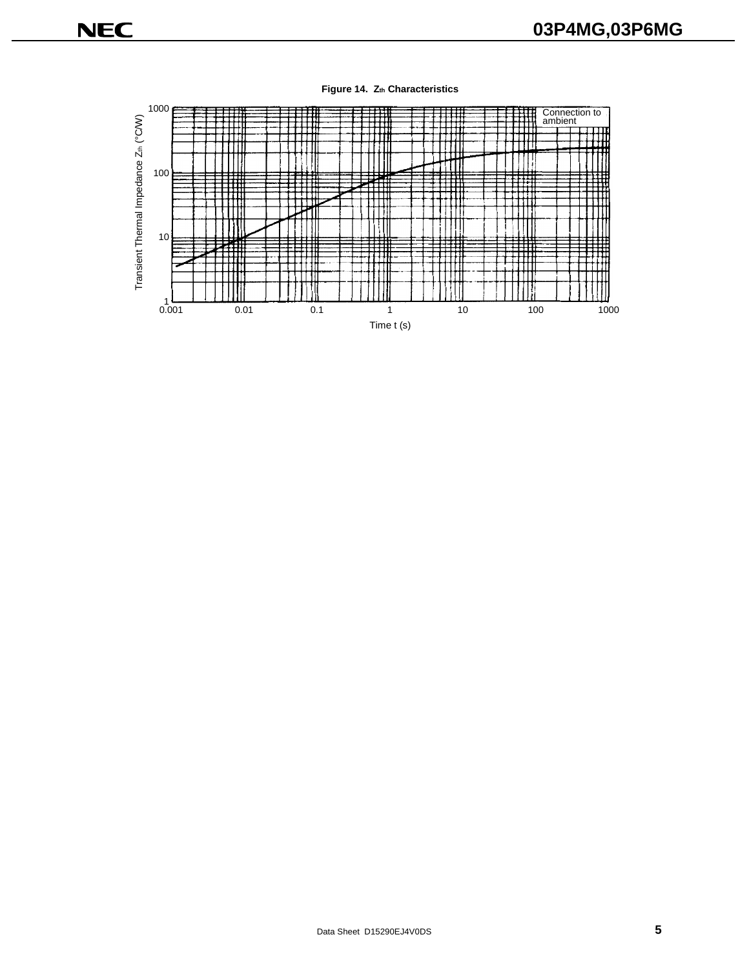